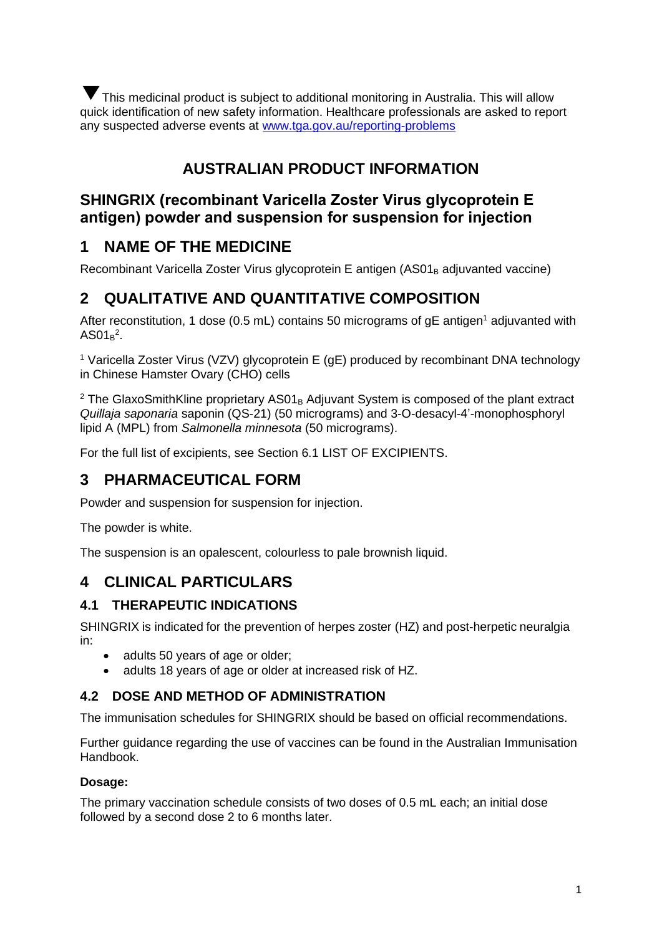This medicinal product is subject to additional monitoring in Australia. This will allow ▼quick identification of new safety information. Healthcare professionals are asked to report any suspected adverse events at [www.tga.gov.au/reporting-problems](http://www.tga.gov.au/reporting-problems)

# **AUSTRALIAN PRODUCT INFORMATION**

## **SHINGRIX (recombinant Varicella Zoster Virus glycoprotein E antigen) powder and suspension for suspension for injection**

# **1 NAME OF THE MEDICINE**

Recombinant Varicella Zoster Virus glycoprotein E antigen (AS01<sub>B</sub> adjuvanted vaccine)

# **2 QUALITATIVE AND QUANTITATIVE COMPOSITION**

After reconstitution, 1 dose (0.5 mL) contains 50 micrograms of  $gE$  antigen<sup>1</sup> adjuvanted with  $AS01_B^2$ .

<sup>1</sup> Varicella Zoster Virus (VZV) glycoprotein E (gE) produced by recombinant DNA technology in Chinese Hamster Ovary (CHO) cells

 $2$  The GlaxoSmithKline proprietary AS01<sub>B</sub> Adjuvant System is composed of the plant extract *Quillaja saponaria* saponin (QS-21) (50 micrograms) and 3-O-desacyl-4'-monophosphoryl lipid A (MPL) from *Salmonella minnesota* (50 micrograms).

For the full list of excipients, see Section 6.1 LIST OF EXCIPIENTS.

# **3 PHARMACEUTICAL FORM**

Powder and suspension for suspension for injection.

The powder is white.

The suspension is an opalescent, colourless to pale brownish liquid.

## **4 CLINICAL PARTICULARS**

### **4.1 THERAPEUTIC INDICATIONS**

SHINGRIX is indicated for the prevention of herpes zoster (HZ) and post-herpetic neuralgia in:

- adults 50 years of age or older;
- adults 18 years of age or older at increased risk of HZ.

### **4.2 DOSE AND METHOD OF ADMINISTRATION**

The immunisation schedules for SHINGRIX should be based on official recommendations.

Further guidance regarding the use of vaccines can be found in the Australian Immunisation Handbook.

### **Dosage:**

The primary vaccination schedule consists of two doses of 0.5 mL each; an initial dose followed by a second dose 2 to 6 months later.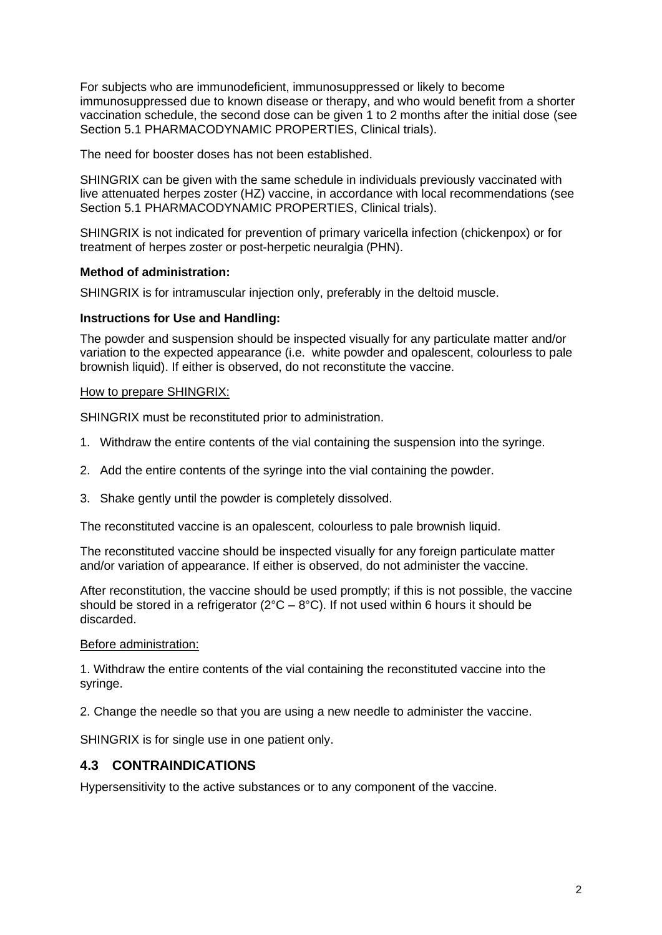For subjects who are immunodeficient, immunosuppressed or likely to become immunosuppressed due to known disease or therapy, and who would benefit from a shorter vaccination schedule, the second dose can be given 1 to 2 months after the initial dose (see Section 5.1 PHARMACODYNAMIC PROPERTIES, Clinical trials).

The need for booster doses has not been established.

SHINGRIX can be given with the same schedule in individuals previously vaccinated with live attenuated herpes zoster (HZ) vaccine, in accordance with local recommendations (see Section 5.1 PHARMACODYNAMIC PROPERTIES, Clinical trials).

SHINGRIX is not indicated for prevention of primary varicella infection (chickenpox) or for treatment of herpes zoster or post-herpetic neuralgia (PHN).

#### **Method of administration:**

SHINGRIX is for intramuscular injection only, preferably in the deltoid muscle.

#### **Instructions for Use and Handling:**

The powder and suspension should be inspected visually for any particulate matter and/or variation to the expected appearance (i.e. white powder and opalescent, colourless to pale brownish liquid). If either is observed, do not reconstitute the vaccine.

#### How to prepare SHINGRIX:

SHINGRIX must be reconstituted prior to administration.

- 1. Withdraw the entire contents of the vial containing the suspension into the syringe.
- 2. Add the entire contents of the syringe into the vial containing the powder.
- 3. Shake gently until the powder is completely dissolved.

The reconstituted vaccine is an opalescent, colourless to pale brownish liquid.

The reconstituted vaccine should be inspected visually for any foreign particulate matter and/or variation of appearance. If either is observed, do not administer the vaccine.

After reconstitution, the vaccine should be used promptly; if this is not possible, the vaccine should be stored in a refrigerator ( $2^{\circ}C - 8^{\circ}C$ ). If not used within 6 hours it should be discarded.

#### Before administration:

1. Withdraw the entire contents of the vial containing the reconstituted vaccine into the syringe.

2. Change the needle so that you are using a new needle to administer the vaccine.

SHINGRIX is for single use in one patient only.

### **4.3 CONTRAINDICATIONS**

Hypersensitivity to the active substances or to any component of the vaccine.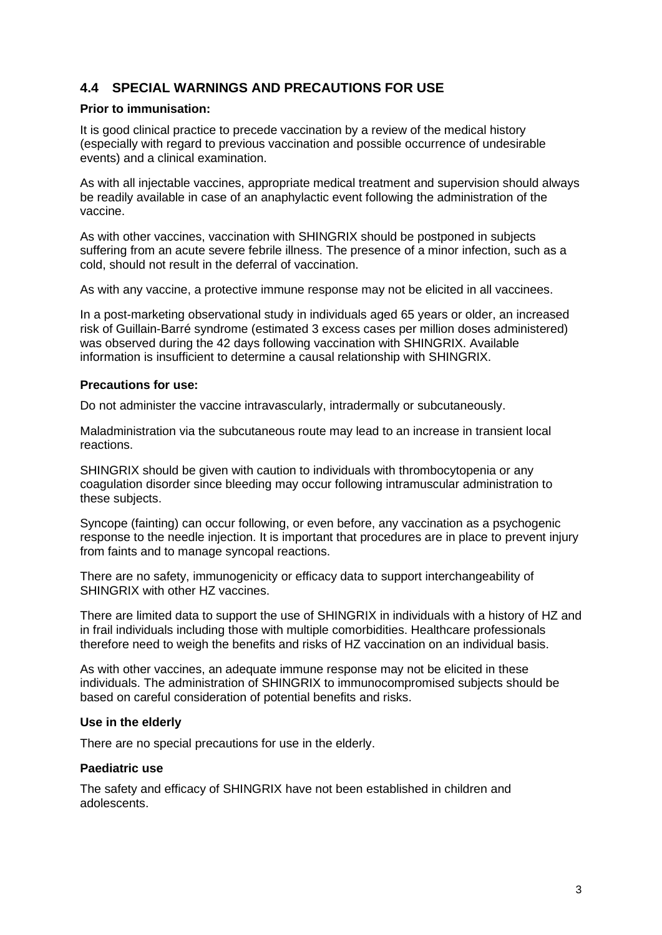### **4.4 SPECIAL WARNINGS AND PRECAUTIONS FOR USE**

#### **Prior to immunisation:**

It is good clinical practice to precede vaccination by a review of the medical history (especially with regard to previous vaccination and possible occurrence of undesirable events) and a clinical examination.

As with all injectable vaccines, appropriate medical treatment and supervision should always be readily available in case of an anaphylactic event following the administration of the vaccine.

As with other vaccines, vaccination with SHINGRIX should be postponed in subjects suffering from an acute severe febrile illness. The presence of a minor infection, such as a cold, should not result in the deferral of vaccination.

As with any vaccine, a protective immune response may not be elicited in all vaccinees.

In a post-marketing observational study in individuals aged 65 years or older, an increased risk of Guillain-Barré syndrome (estimated 3 excess cases per million doses administered) was observed during the 42 days following vaccination with SHINGRIX. Available information is insufficient to determine a causal relationship with SHINGRIX.

#### **Precautions for use:**

Do not administer the vaccine intravascularly, intradermally or subcutaneously.

Maladministration via the subcutaneous route may lead to an increase in transient local reactions.

SHINGRIX should be given with caution to individuals with thrombocytopenia or any coagulation disorder since bleeding may occur following intramuscular administration to these subjects.

Syncope (fainting) can occur following, or even before, any vaccination as a psychogenic response to the needle injection. It is important that procedures are in place to prevent injury from faints and to manage syncopal reactions.

There are no safety, immunogenicity or efficacy data to support interchangeability of SHINGRIX with other HZ vaccines.

There are limited data to support the use of SHINGRIX in individuals with a history of HZ and in frail individuals including those with multiple comorbidities. Healthcare professionals therefore need to weigh the benefits and risks of HZ vaccination on an individual basis.

As with other vaccines, an adequate immune response may not be elicited in these individuals. The administration of SHINGRIX to immunocompromised subjects should be based on careful consideration of potential benefits and risks.

### **Use in the elderly**

There are no special precautions for use in the elderly.

### **Paediatric use**

The safety and efficacy of SHINGRIX have not been established in children and adolescents.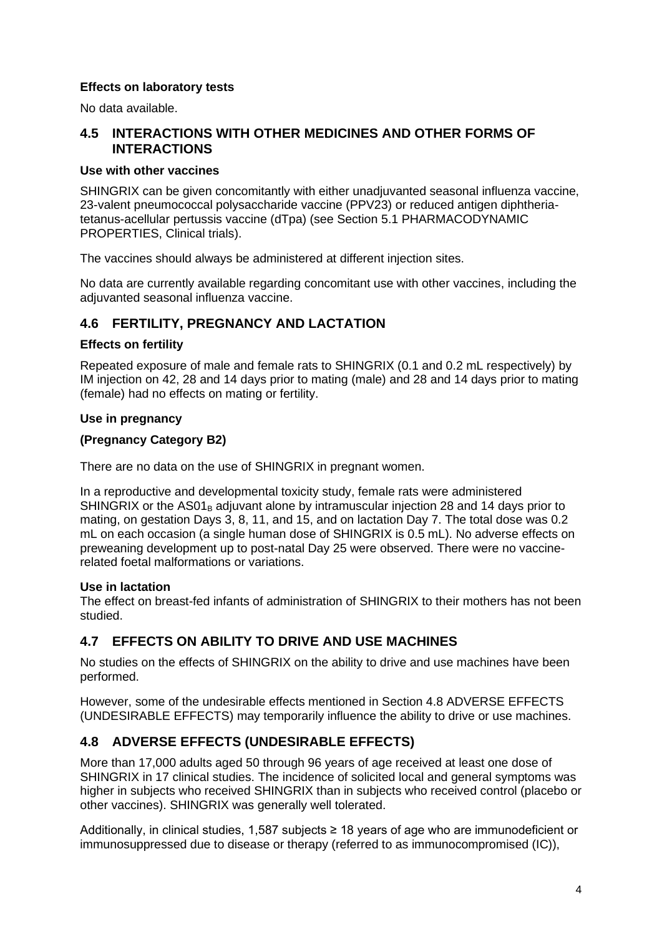### **Effects on laboratory tests**

No data available.

### **4.5 INTERACTIONS WITH OTHER MEDICINES AND OTHER FORMS OF INTERACTIONS**

### **Use with other vaccines**

SHINGRIX can be given concomitantly with either unadjuvanted seasonal influenza vaccine, 23-valent pneumococcal polysaccharide vaccine (PPV23) or reduced antigen diphtheriatetanus-acellular pertussis vaccine (dTpa) (see Section 5.1 PHARMACODYNAMIC PROPERTIES, Clinical trials).

The vaccines should always be administered at different injection sites.

No data are currently available regarding concomitant use with other vaccines, including the adjuvanted seasonal influenza vaccine.

### **4.6 FERTILITY, PREGNANCY AND LACTATION**

#### **Effects on fertility**

Repeated exposure of male and female rats to SHINGRIX (0.1 and 0.2 mL respectively) by IM injection on 42, 28 and 14 days prior to mating (male) and 28 and 14 days prior to mating (female) had no effects on mating or fertility.

#### **Use in pregnancy**

### **(Pregnancy Category B2)**

There are no data on the use of SHINGRIX in pregnant women.

In a reproductive and developmental toxicity study, female rats were administered SHINGRIX or the  $AS01<sub>B</sub>$  adjuvant alone by intramuscular injection 28 and 14 days prior to mating, on gestation Days 3, 8, 11, and 15, and on lactation Day 7. The total dose was 0.2 mL on each occasion (a single human dose of SHINGRIX is 0.5 mL). No adverse effects on preweaning development up to post-natal Day 25 were observed. There were no vaccinerelated foetal malformations or variations.

### **Use in lactation**

The effect on breast-fed infants of administration of SHINGRIX to their mothers has not been studied.

### **4.7 EFFECTS ON ABILITY TO DRIVE AND USE MACHINES**

No studies on the effects of SHINGRIX on the ability to drive and use machines have been performed.

However, some of the undesirable effects mentioned in Section 4.8 ADVERSE EFFECTS (UNDESIRABLE EFFECTS) may temporarily influence the ability to drive or use machines.

### **4.8 ADVERSE EFFECTS (UNDESIRABLE EFFECTS)**

More than 17,000 adults aged 50 through 96 years of age received at least one dose of SHINGRIX in 17 clinical studies. The incidence of solicited local and general symptoms was higher in subjects who received SHINGRIX than in subjects who received control (placebo or other vaccines). SHINGRIX was generally well tolerated.

Additionally, in clinical studies, 1,587 subjects ≥ 18 years of age who are immunodeficient or immunosuppressed due to disease or therapy (referred to as immunocompromised (IC)),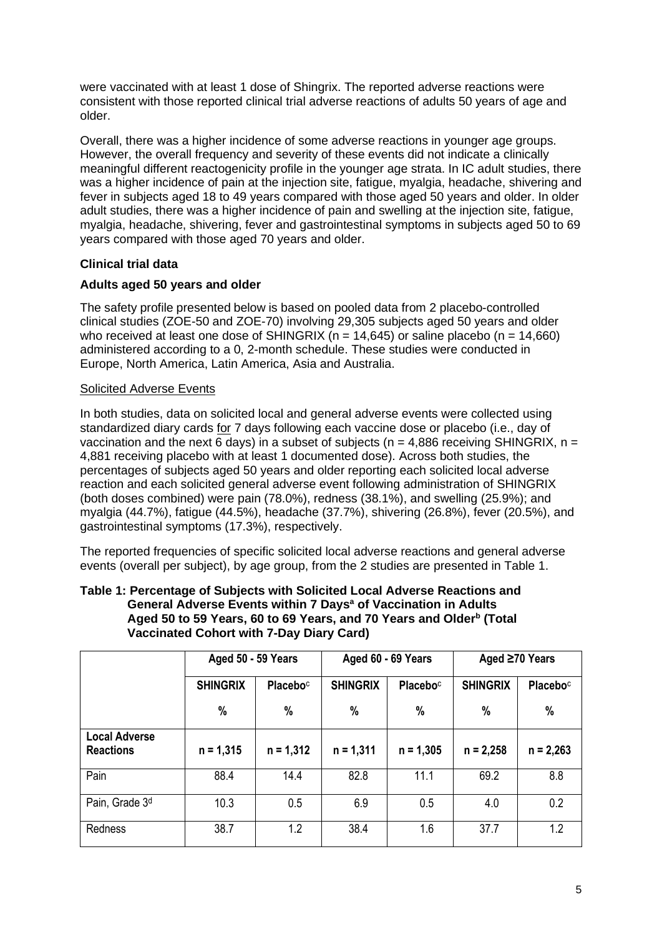were vaccinated with at least 1 dose of Shingrix. The reported adverse reactions were consistent with those reported clinical trial adverse reactions of adults 50 years of age and older.

Overall, there was a higher incidence of some adverse reactions in younger age groups. However, the overall frequency and severity of these events did not indicate a clinically meaningful different reactogenicity profile in the younger age strata. In IC adult studies, there was a higher incidence of pain at the injection site, fatigue, myalgia, headache, shivering and fever in subjects aged 18 to 49 years compared with those aged 50 years and older. In older adult studies, there was a higher incidence of pain and swelling at the injection site, fatigue, myalgia, headache, shivering, fever and gastrointestinal symptoms in subjects aged 50 to 69 years compared with those aged 70 years and older.

### **Clinical trial data**

### **Adults aged 50 years and older**

The safety profile presented below is based on pooled data from 2 placebo-controlled clinical studies (ZOE-50 and ZOE-70) involving 29,305 subjects aged 50 years and older who received at least one dose of SHINGRIX ( $n = 14,645$ ) or saline placebo ( $n = 14,660$ ) administered according to a 0, 2-month schedule. These studies were conducted in Europe, North America, Latin America, Asia and Australia.

### Solicited Adverse Events

In both studies, data on solicited local and general adverse events were collected using standardized diary cards for 7 days following each vaccine dose or placebo (i.e., day of vaccination and the next 6 days) in a subset of subjects ( $n = 4.886$  receiving SHINGRIX,  $n =$ 4,881 receiving placebo with at least 1 documented dose). Across both studies, the percentages of subjects aged 50 years and older reporting each solicited local adverse reaction and each solicited general adverse event following administration of SHINGRIX (both doses combined) were pain (78.0%), redness (38.1%), and swelling (25.9%); and myalgia (44.7%), fatigue (44.5%), headache (37.7%), shivering (26.8%), fever (20.5%), and gastrointestinal symptoms (17.3%), respectively.

The reported frequencies of specific solicited local adverse reactions and general adverse events (overall per subject), by age group, from the 2 studies are presented in Table 1.

| Table 1: Percentage of Subjects with Solicited Local Adverse Reactions and      |
|---------------------------------------------------------------------------------|
| General Adverse Events within 7 Days <sup>a</sup> of Vaccination in Adults      |
| Aged 50 to 59 Years, 60 to 69 Years, and 70 Years and Older <sup>b</sup> (Total |
| <b>Vaccinated Cohort with 7-Day Diary Card)</b>                                 |

|                                          | Aged 50 - 59 Years |                             |                 | Aged 60 - 69 Years   | Aged $\geq 70$ Years |             |  |
|------------------------------------------|--------------------|-----------------------------|-----------------|----------------------|----------------------|-------------|--|
|                                          | <b>SHINGRIX</b>    | <b>Placebo</b> <sup>c</sup> | <b>SHINGRIX</b> | Placebo <sup>c</sup> | <b>SHINGRIX</b>      | Placeboc    |  |
|                                          | $\%$               | %                           | %               | %                    | %                    | %           |  |
| <b>Local Adverse</b><br><b>Reactions</b> | $n = 1,315$        | $n = 1,312$                 | $n = 1,311$     | $n = 1,305$          | $n = 2,258$          | $n = 2,263$ |  |
| Pain                                     | 88.4               | 14.4                        | 82.8            | 11.1                 | 69.2                 | 8.8         |  |
| Pain, Grade 3 <sup>d</sup>               | 10.3               | 0.5                         | 6.9             | 0.5                  | 4.0                  | 0.2         |  |
| <b>Redness</b>                           | 38.7               | 1.2                         | 38.4            | 1.6                  | 37.7                 | 1.2         |  |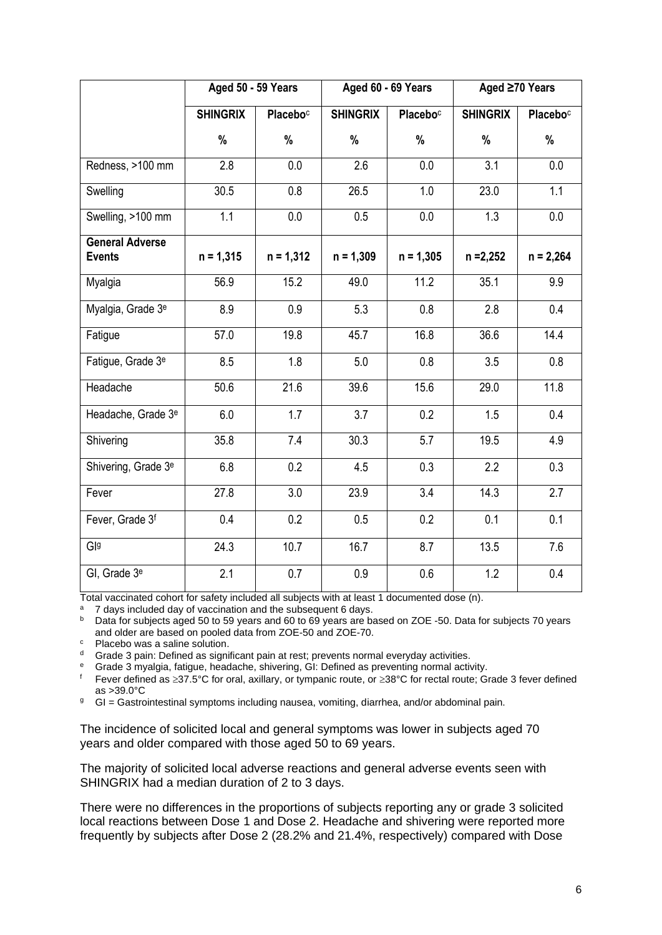|                                         | Aged 50 - 59 Years |                      |                 | Aged 60 - 69 Years   | Aged ≥70 Years  |                      |  |
|-----------------------------------------|--------------------|----------------------|-----------------|----------------------|-----------------|----------------------|--|
|                                         | <b>SHINGRIX</b>    | Placebo <sup>c</sup> | <b>SHINGRIX</b> | Placebo <sup>c</sup> | <b>SHINGRIX</b> | Placebo <sup>c</sup> |  |
|                                         | %                  | %                    | %               | %                    | %               | %                    |  |
| Redness, >100 mm                        | 2.8                | 0.0                  | 2.6             | 0.0                  | 3.1             | 0.0                  |  |
| Swelling                                | 30.5               | 0.8                  | 26.5            | 1.0                  | 23.0            | 1.1                  |  |
| Swelling, >100 mm                       | 1.1                | 0.0                  | 0.5             | 0.0                  | 1.3             | 0.0                  |  |
| <b>General Adverse</b><br><b>Events</b> | $n = 1,315$        | $n = 1,312$          | $n = 1,309$     | $n = 1,305$          | $n = 2,252$     | $n = 2,264$          |  |
| Myalgia                                 | 56.9               | 15.2                 | 49.0            | 11.2                 | 35.1            | 9.9                  |  |
| Myalgia, Grade 3 <sup>e</sup>           | 8.9                | 0.9                  | 5.3             | 0.8                  | 2.8             | 0.4                  |  |
| Fatigue                                 | 57.0               | 19.8                 | 45.7            | 16.8                 | 36.6            | 14.4                 |  |
| Fatigue, Grade 3 <sup>e</sup>           | 8.5                | 1.8                  | 5.0             | 0.8                  | 3.5             | 0.8                  |  |
| Headache                                | 50.6               | 21.6                 | 39.6            | 15.6                 | 29.0            | 11.8                 |  |
| Headache, Grade 3 <sup>e</sup>          | 6.0                | 1.7                  | 3.7             | 0.2                  | 1.5             | 0.4                  |  |
| Shivering                               | 35.8               | 7.4                  | 30.3            | 5.7                  | 19.5            | 4.9                  |  |
| Shivering, Grade 3 <sup>e</sup>         | 6.8                | 0.2                  | 4.5             | 0.3                  | 2.2             | 0.3                  |  |
| Fever                                   | 27.8               | 3.0                  | 23.9            | 3.4                  | 14.3            | 2.7                  |  |
| Fever, Grade 3f                         | 0.4                | 0.2                  | 0.5             | 0.2                  | 0.1             | 0.1                  |  |
| Gla                                     | 24.3               | 10.7                 | 16.7            | 8.7                  | 13.5            | 7.6                  |  |
| GI, Grade 3 <sup>e</sup>                | 2.1                | 0.7                  | 0.9             | 0.6                  | 1.2             | 0.4                  |  |

Total vaccinated cohort for safety included all subjects with at least 1 documented dose (n).

<sup>a</sup> 7 days included day of vaccination and the subsequent 6 days.

<sup>b</sup> Data for subjects aged 50 to 59 years and 60 to 69 years are based on ZOE -50. Data for subjects 70 years and older are based on pooled data from ZOE-50 and ZOE-70.

<sup>c</sup> Placebo was a saline solution.

<sup>d</sup> Grade 3 pain: Defined as significant pain at rest; prevents normal everyday activities.

<sup>e</sup> Grade 3 myalgia, fatigue, headache, shivering, GI: Defined as preventing normal activity.

Fever defined as  $\geq 37.5^{\circ}$ C for oral, axillary, or tympanic route, or  $\geq 38^{\circ}$ C for rectal route; Grade 3 fever defined as >39.0°C

<sup>g</sup> GI = Gastrointestinal symptoms including nausea, vomiting, diarrhea, and/or abdominal pain.

The incidence of solicited local and general symptoms was lower in subjects aged 70 years and older compared with those aged 50 to 69 years.

The majority of solicited local adverse reactions and general adverse events seen with SHINGRIX had a median duration of 2 to 3 days.

There were no differences in the proportions of subjects reporting any or grade 3 solicited local reactions between Dose 1 and Dose 2. Headache and shivering were reported more frequently by subjects after Dose 2 (28.2% and 21.4%, respectively) compared with Dose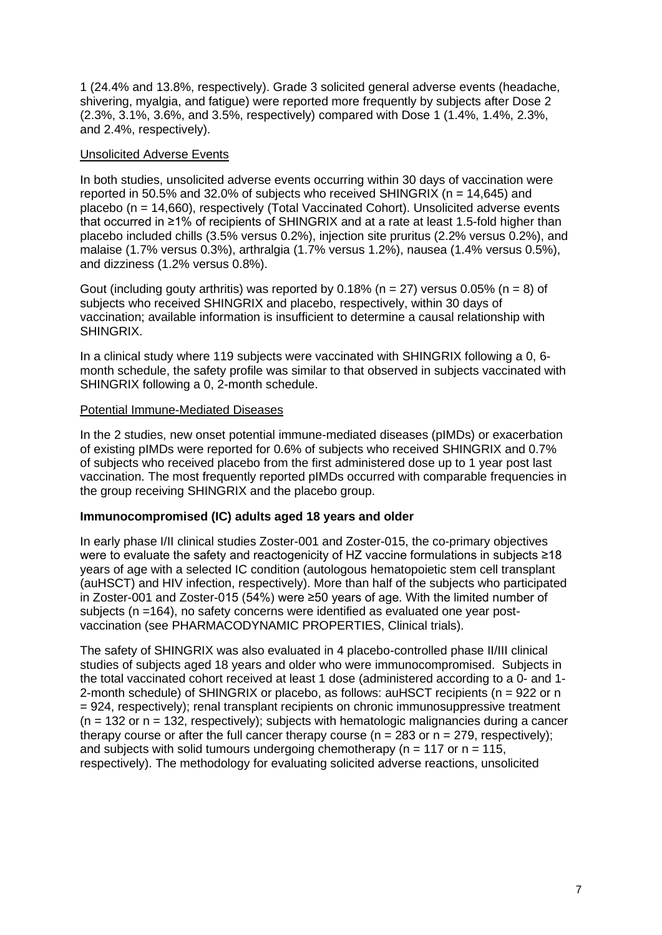1 (24.4% and 13.8%, respectively). Grade 3 solicited general adverse events (headache, shivering, myalgia, and fatigue) were reported more frequently by subjects after Dose 2 (2.3%, 3.1%, 3.6%, and 3.5%, respectively) compared with Dose 1 (1.4%, 1.4%, 2.3%, and 2.4%, respectively).

#### Unsolicited Adverse Events

In both studies, unsolicited adverse events occurring within 30 days of vaccination were reported in 50.5% and 32.0% of subjects who received SHINGRIX ( $n = 14,645$ ) and placebo (n = 14,660), respectively (Total Vaccinated Cohort). Unsolicited adverse events that occurred in ≥1% of recipients of SHINGRIX and at a rate at least 1.5-fold higher than placebo included chills (3.5% versus 0.2%), injection site pruritus (2.2% versus 0.2%), and malaise (1.7% versus 0.3%), arthralgia (1.7% versus 1.2%), nausea (1.4% versus 0.5%), and dizziness (1.2% versus 0.8%).

Gout (including gouty arthritis) was reported by 0.18% (n = 27) versus 0.05% (n = 8) of subjects who received SHINGRIX and placebo, respectively, within 30 days of vaccination; available information is insufficient to determine a causal relationship with SHINGRIX.

In a clinical study where 119 subjects were vaccinated with SHINGRIX following a 0, 6 month schedule, the safety profile was similar to that observed in subjects vaccinated with SHINGRIX following a 0, 2-month schedule.

### Potential Immune-Mediated Diseases

In the 2 studies, new onset potential immune-mediated diseases (pIMDs) or exacerbation of existing pIMDs were reported for 0.6% of subjects who received SHINGRIX and 0.7% of subjects who received placebo from the first administered dose up to 1 year post last vaccination. The most frequently reported pIMDs occurred with comparable frequencies in the group receiving SHINGRIX and the placebo group.

### **Immunocompromised (IC) adults aged 18 years and older**

In early phase I/II clinical studies Zoster-001 and Zoster-015, the co-primary objectives were to evaluate the safety and reactogenicity of HZ vaccine formulations in subjects ≥18 years of age with a selected IC condition (autologous hematopoietic stem cell transplant (auHSCT) and HIV infection, respectively). More than half of the subjects who participated in Zoster-001 and Zoster-015 (54%) were ≥50 years of age. With the limited number of subjects (n =164), no safety concerns were identified as evaluated one year postvaccination (see PHARMACODYNAMIC PROPERTIES, Clinical trials).

The safety of SHINGRIX was also evaluated in 4 placebo-controlled phase II/III clinical studies of subjects aged 18 years and older who were immunocompromised. Subjects in the total vaccinated cohort received at least 1 dose (administered according to a 0- and 1- 2-month schedule) of SHINGRIX or placebo, as follows: auHSCT recipients (n = 922 or n = 924, respectively); renal transplant recipients on chronic immunosuppressive treatment  $(n = 132 \text{ or } n = 132, \text{ respectively})$ ; subjects with hematologic malignancies during a cancer therapy course or after the full cancer therapy course ( $n = 283$  or  $n = 279$ , respectively); and subjects with solid tumours undergoing chemotherapy ( $n = 117$  or  $n = 115$ , respectively). The methodology for evaluating solicited adverse reactions, unsolicited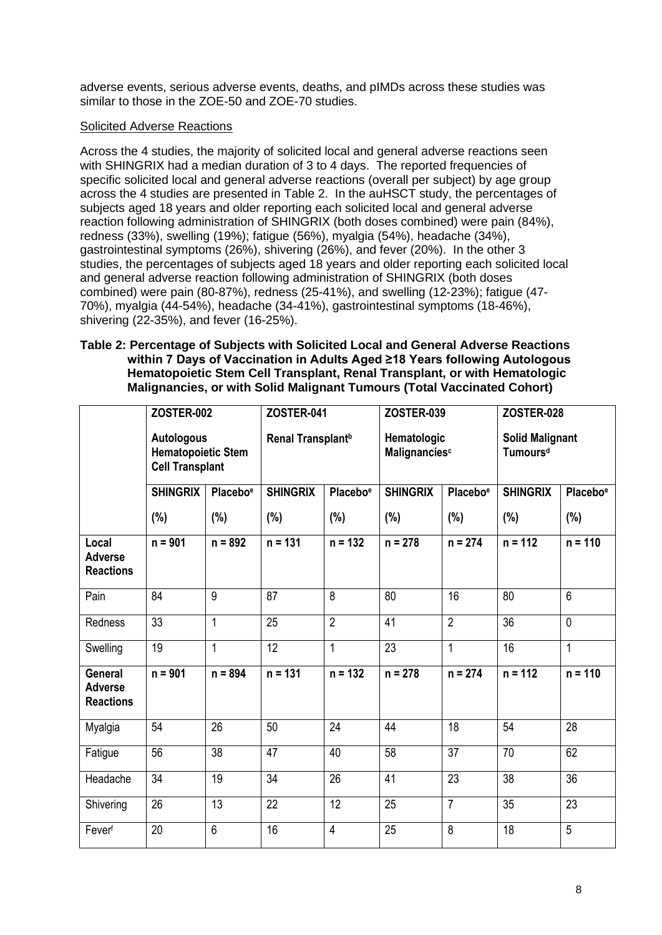adverse events, serious adverse events, deaths, and pIMDs across these studies was similar to those in the ZOE-50 and ZOE-70 studies.

### Solicited Adverse Reactions

Across the 4 studies, the majority of solicited local and general adverse reactions seen with SHINGRIX had a median duration of 3 to 4 days. The reported frequencies of specific solicited local and general adverse reactions (overall per subject) by age group across the 4 studies are presented in Table 2. In the auHSCT study, the percentages of subjects aged 18 years and older reporting each solicited local and general adverse reaction following administration of SHINGRIX (both doses combined) were pain (84%), redness (33%), swelling (19%); fatigue (56%), myalgia (54%), headache (34%), gastrointestinal symptoms (26%), shivering (26%), and fever (20%). In the other 3 studies, the percentages of subjects aged 18 years and older reporting each solicited local and general adverse reaction following administration of SHINGRIX (both doses combined) were pain (80-87%), redness (25-41%), and swelling (12-23%); fatigue (47- 70%), myalgia (44-54%), headache (34-41%), gastrointestinal symptoms (18-46%), shivering (22-35%), and fever (16-25%).

### **Table 2: Percentage of Subjects with Solicited Local and General Adverse Reactions within 7 Days of Vaccination in Adults Aged ≥18 Years following Autologous Hematopoietic Stem Cell Transplant, Renal Transplant, or with Hematologic Malignancies, or with Solid Malignant Tumours (Total Vaccinated Cohort)**

|                                                      | <b>ZOSTER-002</b>                                                        |                      | <b>ZOSTER-041</b>             |                      | <b>ZOSTER-039</b>            |                      | <b>ZOSTER-028</b>                              |                      |
|------------------------------------------------------|--------------------------------------------------------------------------|----------------------|-------------------------------|----------------------|------------------------------|----------------------|------------------------------------------------|----------------------|
|                                                      | <b>Autologous</b><br><b>Hematopoietic Stem</b><br><b>Cell Transplant</b> |                      | Renal Transplant <sup>b</sup> |                      | Hematologic<br>Malignanciesc |                      | <b>Solid Malignant</b><br>Tumours <sup>d</sup> |                      |
|                                                      | <b>SHINGRIX</b>                                                          | Placebo <sup>e</sup> | <b>SHINGRIX</b>               | Placebo <sup>e</sup> | <b>SHINGRIX</b>              | Placebo <sup>e</sup> | <b>SHINGRIX</b>                                | Placebo <sup>e</sup> |
|                                                      | (%)                                                                      | (%)                  | (%)                           | $(\%)$               | (%)                          | (%)                  | (%)                                            | (%)                  |
| Local<br><b>Adverse</b><br><b>Reactions</b>          | $n = 901$                                                                | $n = 892$            | $n = 131$                     | $n = 132$            | $n = 278$                    | $n = 274$            | $n = 112$                                      | $n = 110$            |
| Pain                                                 | 84                                                                       | 9                    | 87                            | 8                    | 80                           | 16                   | 80                                             | $\overline{6}$       |
| <b>Redness</b>                                       | 33                                                                       | 1                    | 25                            | $\overline{2}$       | 41                           | $\overline{2}$       | 36                                             | $\mathbf 0$          |
| Swelling                                             | 19                                                                       | $\mathbf{1}$         | 12                            | 1                    | 23                           | $\mathbf{1}$         | 16                                             | $\mathbf{1}$         |
| <b>General</b><br><b>Adverse</b><br><b>Reactions</b> | $n = 901$                                                                | $n = 894$            | $n = 131$                     | $n = 132$            | $n = 278$                    | $n = 274$            | $n = 112$                                      | $n = 110$            |
| Myalgia                                              | 54                                                                       | 26                   | 50                            | 24                   | 44                           | 18                   | 54                                             | 28                   |
| Fatigue                                              | 56                                                                       | 38                   | 47                            | 40                   | 58                           | 37                   | 70                                             | 62                   |
| Headache                                             | $\overline{34}$                                                          | $\overline{19}$      | $\overline{34}$               | $\overline{26}$      | 41                           | $\overline{23}$      | $\overline{38}$                                | $\overline{36}$      |
| Shivering                                            | 26                                                                       | 13                   | 22                            | 12                   | 25                           | $\overline{7}$       | 35                                             | 23                   |
| Feverf                                               | 20                                                                       | $\overline{6}$       | 16                            | $\overline{4}$       | 25                           | 8                    | $\overline{18}$                                | $\overline{5}$       |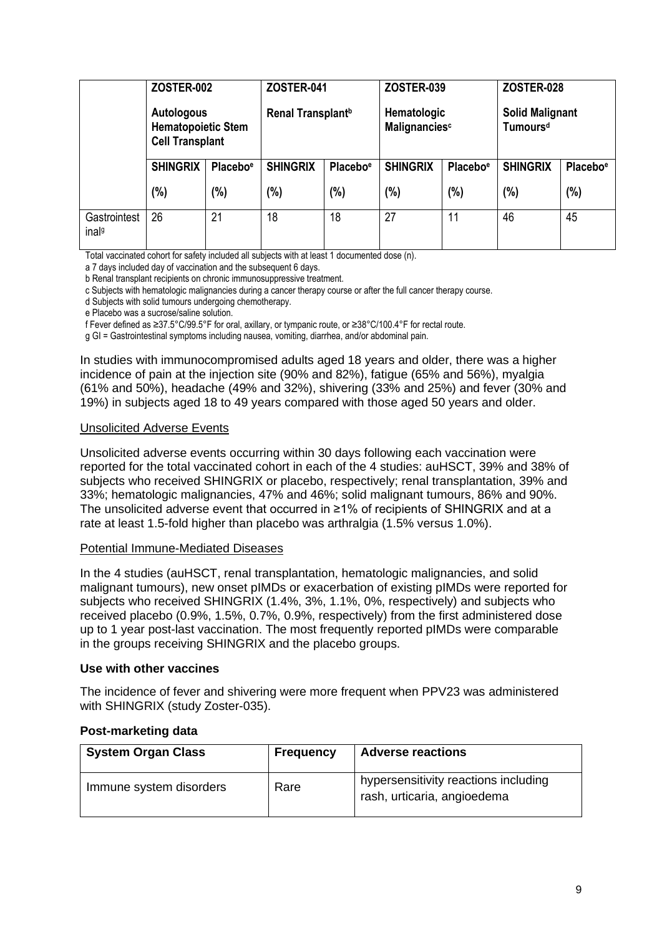|                                   | <b>ZOSTER-002</b>                                                 |                      | <b>ZOSTER-041</b>             |                      | <b>ZOSTER-039</b>            |                      | <b>ZOSTER-028</b>                              |                      |
|-----------------------------------|-------------------------------------------------------------------|----------------------|-------------------------------|----------------------|------------------------------|----------------------|------------------------------------------------|----------------------|
|                                   | Autologous<br><b>Hematopoietic Stem</b><br><b>Cell Transplant</b> |                      | Renal Transplant <sup>b</sup> |                      | Hematologic<br>Malignanciesc |                      | <b>Solid Malignant</b><br>Tumours <sup>d</sup> |                      |
|                                   | <b>SHINGRIX</b>                                                   | Placebo <sup>e</sup> | <b>SHINGRIX</b>               | Placebo <sup>e</sup> | <b>SHINGRIX</b>              | Placebo <sup>e</sup> | <b>SHINGRIX</b>                                | Placebo <sup>e</sup> |
|                                   | $(\%)$                                                            | (%)                  | (%)                           | (%)                  | (%)                          | $(\%)$               | (%)                                            | (%)                  |
| Gastrointest<br>inal <sup>g</sup> | 26                                                                | 21                   | 18                            | 18                   | 27                           | 11                   | 46                                             | 45                   |

Total vaccinated cohort for safety included all subjects with at least 1 documented dose (n).

a 7 days included day of vaccination and the subsequent 6 days.

b Renal transplant recipients on chronic immunosuppressive treatment.

c Subjects with hematologic malignancies during a cancer therapy course or after the full cancer therapy course.

d Subjects with solid tumours undergoing chemotherapy.

e Placebo was a sucrose/saline solution.

f Fever defined as ≥37.5°C/99.5°F for oral, axillary, or tympanic route, or ≥38°C/100.4°F for rectal route.

g GI = Gastrointestinal symptoms including nausea, vomiting, diarrhea, and/or abdominal pain.

In studies with immunocompromised adults aged 18 years and older, there was a higher incidence of pain at the injection site (90% and 82%), fatigue (65% and 56%), myalgia (61% and 50%), headache (49% and 32%), shivering (33% and 25%) and fever (30% and 19%) in subjects aged 18 to 49 years compared with those aged 50 years and older.

#### Unsolicited Adverse Events

Unsolicited adverse events occurring within 30 days following each vaccination were reported for the total vaccinated cohort in each of the 4 studies: auHSCT, 39% and 38% of subjects who received SHINGRIX or placebo, respectively; renal transplantation, 39% and 33%; hematologic malignancies, 47% and 46%; solid malignant tumours, 86% and 90%. The unsolicited adverse event that occurred in ≥1% of recipients of SHINGRIX and at a rate at least 1.5-fold higher than placebo was arthralgia (1.5% versus 1.0%).

#### Potential Immune-Mediated Diseases

In the 4 studies (auHSCT, renal transplantation, hematologic malignancies, and solid malignant tumours), new onset pIMDs or exacerbation of existing pIMDs were reported for subjects who received SHINGRIX (1.4%, 3%, 1.1%, 0%, respectively) and subjects who received placebo (0.9%, 1.5%, 0.7%, 0.9%, respectively) from the first administered dose up to 1 year post-last vaccination. The most frequently reported pIMDs were comparable in the groups receiving SHINGRIX and the placebo groups.

#### **Use with other vaccines**

The incidence of fever and shivering were more frequent when PPV23 was administered with SHINGRIX (study Zoster-035).

### **Post-marketing data**

| <b>System Organ Class</b> | <b>Frequency</b> | <b>Adverse reactions</b>                                            |
|---------------------------|------------------|---------------------------------------------------------------------|
| Immune system disorders   | Rare             | hypersensitivity reactions including<br>rash, urticaria, angioedema |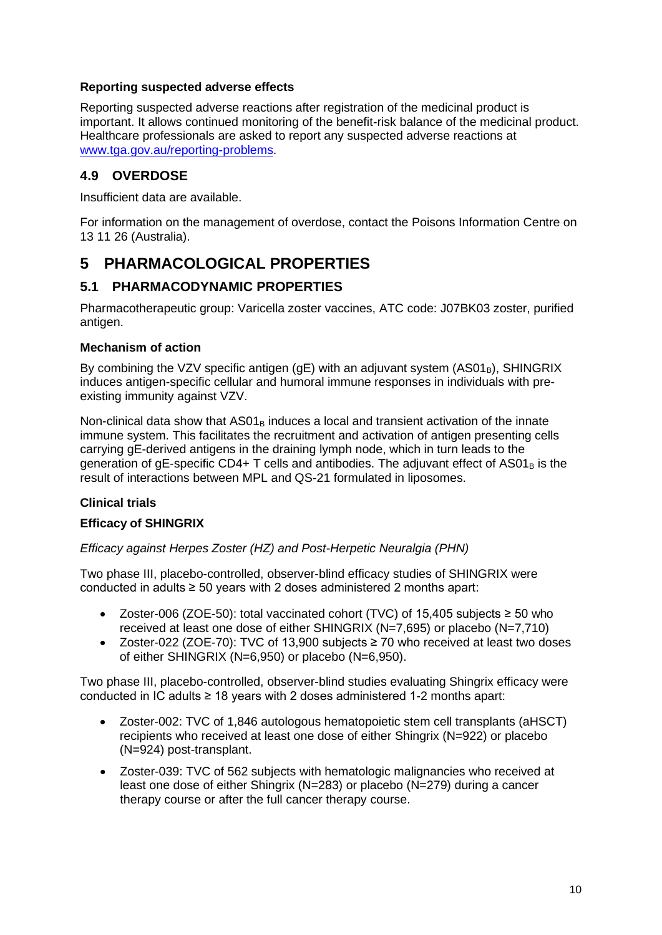### **Reporting suspected adverse effects**

Reporting suspected adverse reactions after registration of the medicinal product is important. It allows continued monitoring of the benefit-risk balance of the medicinal product. Healthcare professionals are asked to report any suspected adverse reactions at [www.tga.gov.au/reporting-problems.](http://www.tga.gov.au/reporting-problems)

### **4.9 OVERDOSE**

Insufficient data are available.

For information on the management of overdose, contact the Poisons Information Centre on 13 11 26 (Australia).

# **5 PHARMACOLOGICAL PROPERTIES**

### **5.1 PHARMACODYNAMIC PROPERTIES**

Pharmacotherapeutic group: Varicella zoster vaccines, ATC code: J07BK03 zoster, purified antigen.

### **Mechanism of action**

By combining the VZV specific antigen (gE) with an adjuvant system  $(AS01<sub>B</sub>)$ , SHINGRIX induces antigen-specific cellular and humoral immune responses in individuals with preexisting immunity against VZV.

Non-clinical data show that  $AS01<sub>B</sub>$  induces a local and transient activation of the innate immune system. This facilitates the recruitment and activation of antigen presenting cells carrying gE-derived antigens in the draining lymph node, which in turn leads to the generation of gE-specific CD4+ T cells and antibodies. The adjuvant effect of  $AS01<sub>B</sub>$  is the result of interactions between MPL and QS-21 formulated in liposomes.

### **Clinical trials**

### **Efficacy of SHINGRIX**

*Efficacy against Herpes Zoster (HZ) and Post-Herpetic Neuralgia (PHN)*

Two phase III, placebo-controlled, observer-blind efficacy studies of SHINGRIX were conducted in adults ≥ 50 years with 2 doses administered 2 months apart:

- Zoster-006 (ZOE-50): total vaccinated cohort (TVC) of 15,405 subjects ≥ 50 who received at least one dose of either SHINGRIX (N=7,695) or placebo (N=7,710)
- Zoster-022 (ZOE-70): TVC of 13,900 subjects ≥ 70 who received at least two doses of either SHINGRIX (N=6,950) or placebo (N=6,950).

Two phase III, placebo-controlled, observer-blind studies evaluating Shingrix efficacy were conducted in IC adults ≥ 18 years with 2 doses administered 1-2 months apart:

- Zoster-002: TVC of 1,846 autologous hematopoietic stem cell transplants (aHSCT) recipients who received at least one dose of either Shingrix (N=922) or placebo (N=924) post-transplant.
- Zoster-039: TVC of 562 subjects with hematologic malignancies who received at least one dose of either Shingrix (N=283) or placebo (N=279) during a cancer therapy course or after the full cancer therapy course.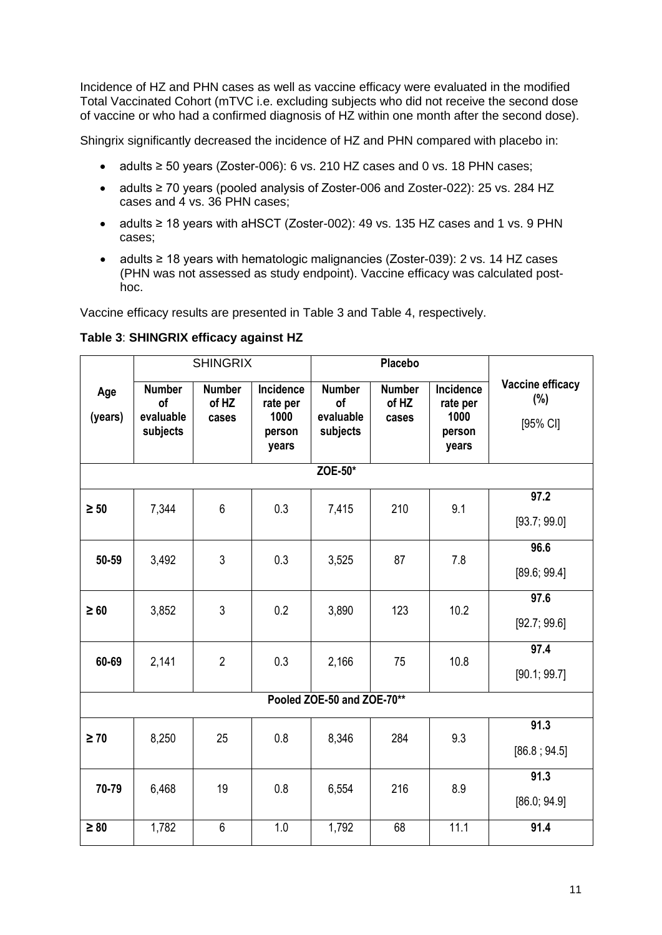Incidence of HZ and PHN cases as well as vaccine efficacy were evaluated in the modified Total Vaccinated Cohort (mTVC i.e. excluding subjects who did not receive the second dose of vaccine or who had a confirmed diagnosis of HZ within one month after the second dose).

Shingrix significantly decreased the incidence of HZ and PHN compared with placebo in:

- adults ≥ 50 years (Zoster-006): 6 vs. 210 HZ cases and 0 vs. 18 PHN cases;
- adults ≥ 70 years (pooled analysis of Zoster-006 and Zoster-022): 25 vs. 284 HZ cases and 4 vs. 36 PHN cases;
- adults ≥ 18 years with aHSCT (Zoster-002): 49 vs. 135 HZ cases and 1 vs. 9 PHN cases;
- adults ≥ 18 years with hematologic malignancies (Zoster-039): 2 vs. 14 HZ cases (PHN was not assessed as study endpoint). Vaccine efficacy was calculated posthoc.

Vaccine efficacy results are presented in Table 3 and Table 4, respectively.

|                |                                                     | <b>SHINGRIX</b>                 |                                                  |                                              | Placebo                         |                                                  |                                     |  |  |  |  |
|----------------|-----------------------------------------------------|---------------------------------|--------------------------------------------------|----------------------------------------------|---------------------------------|--------------------------------------------------|-------------------------------------|--|--|--|--|
| Age<br>(years) | <b>Number</b><br><b>of</b><br>evaluable<br>subjects | <b>Number</b><br>of HZ<br>cases | Incidence<br>rate per<br>1000<br>person<br>years | <b>Number</b><br>of<br>evaluable<br>subjects | <b>Number</b><br>of HZ<br>cases | Incidence<br>rate per<br>1000<br>person<br>years | Vaccine efficacy<br>(%)<br>[95% CI] |  |  |  |  |
| ZOE-50*        |                                                     |                                 |                                                  |                                              |                                 |                                                  |                                     |  |  |  |  |
| $\geq 50$      | 7,344                                               | 6                               | 0.3                                              | 7,415                                        | 210                             | 9.1                                              | 97.2<br>[93.7; 99.0]                |  |  |  |  |
| 50-59          | 3,492                                               | 3                               | 0.3                                              | 3,525                                        | 87                              | 7.8                                              | 96.6<br>[89.6; 99.4]                |  |  |  |  |
| $\geq 60$      | 3,852                                               | 3                               | 0.2                                              | 3,890                                        | 123                             | 10.2                                             | 97.6<br>[92.7; 99.6]                |  |  |  |  |
| 60-69          | 2,141                                               | $\overline{2}$                  | 0.3                                              | 2,166                                        | 75                              | 10.8                                             | 97.4<br>[90.1; 99.7]                |  |  |  |  |
|                |                                                     |                                 |                                                  | Pooled ZOE-50 and ZOE-70**                   |                                 |                                                  |                                     |  |  |  |  |
| $\geq 70$      | 8,250                                               | 25                              | 0.8                                              | 8,346                                        | 284                             | 9.3                                              | 91.3<br>[86.8; 94.5]                |  |  |  |  |
| 70-79          | 6,468                                               | 19                              | 0.8                                              | 6,554                                        | 216                             | 8.9                                              | 91.3<br>[86.0; 94.9]                |  |  |  |  |
| $\geq 80$      | 1,782                                               | 6                               | 1.0                                              | 1,792                                        | 68                              | 11.1                                             | 91.4                                |  |  |  |  |

### **Table 3**: **SHINGRIX efficacy against HZ**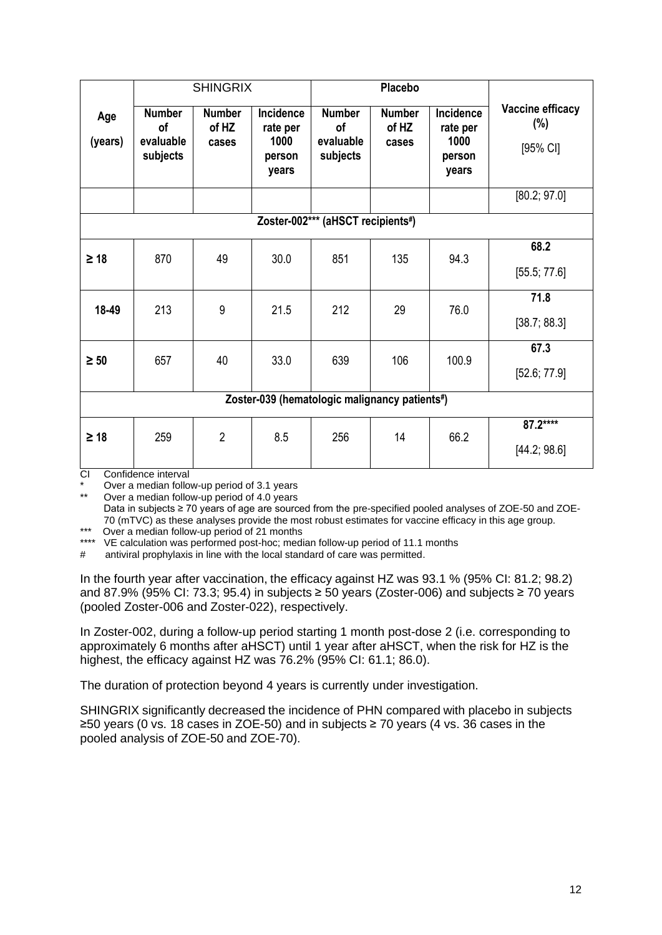|                                               | <b>SHINGRIX</b>                                     |                                 |                                                         | <b>Placebo</b>                                      |                                 |                                                         |                                        |  |  |  |
|-----------------------------------------------|-----------------------------------------------------|---------------------------------|---------------------------------------------------------|-----------------------------------------------------|---------------------------------|---------------------------------------------------------|----------------------------------------|--|--|--|
| Age<br>(years)                                | <b>Number</b><br><b>of</b><br>evaluable<br>subjects | <b>Number</b><br>of HZ<br>cases | <b>Incidence</b><br>rate per<br>1000<br>person<br>years | <b>Number</b><br><b>of</b><br>evaluable<br>subjects | <b>Number</b><br>of HZ<br>cases | <b>Incidence</b><br>rate per<br>1000<br>person<br>years | Vaccine efficacy<br>$(\%)$<br>[95% CI] |  |  |  |
|                                               |                                                     |                                 |                                                         |                                                     |                                 |                                                         | [80.2; 97.0]                           |  |  |  |
|                                               | Zoster-002*** (aHSCT recipients#)                   |                                 |                                                         |                                                     |                                 |                                                         |                                        |  |  |  |
| $\geq 18$                                     | 870                                                 | 49                              | 30.0                                                    | 851                                                 | 135                             | 94.3                                                    | 68.2<br>[55.5; 77.6]                   |  |  |  |
| 18-49                                         | 213                                                 | 9                               | 21.5                                                    | 212                                                 | 29                              | 76.0                                                    | 71.8<br>[38.7; 88.3]                   |  |  |  |
| $\geq 50$                                     | 657                                                 | 40                              | 33.0                                                    | 639                                                 | 106                             | 100.9                                                   | 67.3<br>[52.6; 77.9]                   |  |  |  |
| Zoster-039 (hematologic malignancy patients#) |                                                     |                                 |                                                         |                                                     |                                 |                                                         |                                        |  |  |  |
| $\geq 18$<br>$\sim$ $\sim$                    | 259<br>Confidence interior                          | $\overline{2}$                  | 8.5                                                     | 256                                                 | 14                              | 66.2                                                    | 87.2****<br>[44.2; 98.6]               |  |  |  |

CI Confidence interval

Over a median follow-up period of 3.1 years

Over a median follow-up period of 4.0 years Data in subjects ≥ 70 years of age are sourced from the pre-specified pooled analyses of ZOE-50 and ZOE-70 (mTVC) as these analyses provide the most robust estimates for vaccine efficacy in this age group.

\*\*\* Over a median follow-up period of 21 months

\*\*\*\* VE calculation was performed post-hoc; median follow-up period of 11.1 months

# antiviral prophylaxis in line with the local standard of care was permitted.

In the fourth year after vaccination, the efficacy against HZ was 93.1 % (95% CI: 81.2; 98.2) and 87.9% (95% CI: 73.3; 95.4) in subjects ≥ 50 years (Zoster-006) and subjects ≥ 70 years (pooled Zoster-006 and Zoster-022), respectively.

In Zoster-002, during a follow-up period starting 1 month post-dose 2 (i.e. corresponding to approximately 6 months after aHSCT) until 1 year after aHSCT, when the risk for HZ is the highest, the efficacy against HZ was 76.2% (95% CI: 61.1; 86.0).

The duration of protection beyond 4 years is currently under investigation.

SHINGRIX significantly decreased the incidence of PHN compared with placebo in subjects ≥50 years (0 vs. 18 cases in ZOE-50) and in subjects ≥ 70 years (4 vs. 36 cases in the pooled analysis of ZOE-50 and ZOE-70).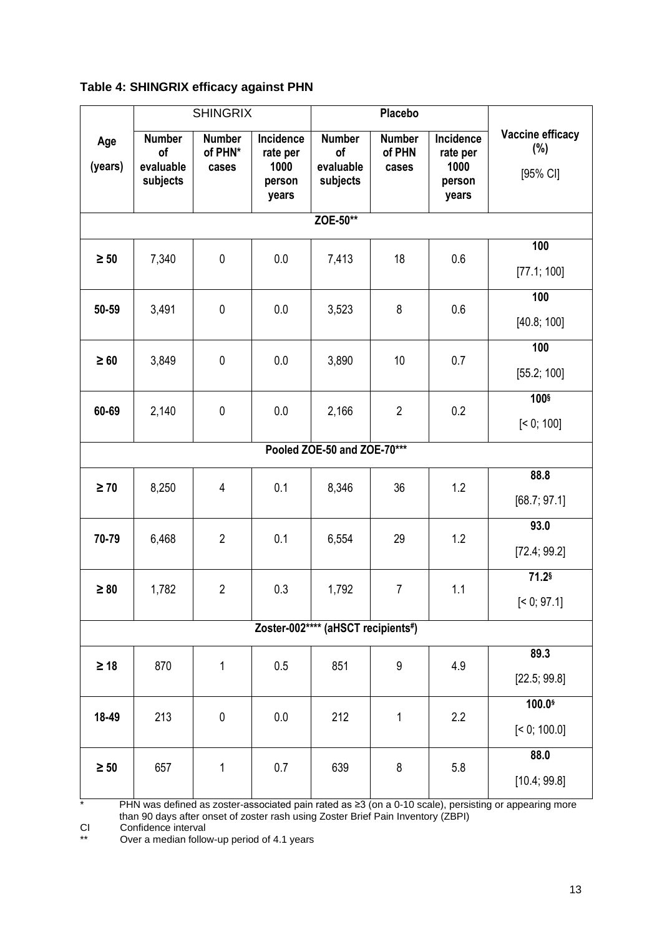| Table 4: SHINGRIX efficacy against PHN |  |  |  |
|----------------------------------------|--|--|--|
|----------------------------------------|--|--|--|

|                |                                              | <b>SHINGRIX</b>                   |                                                  |                                              | <b>Placebo</b>                   |                                                  |                                     |  |  |  |  |
|----------------|----------------------------------------------|-----------------------------------|--------------------------------------------------|----------------------------------------------|----------------------------------|--------------------------------------------------|-------------------------------------|--|--|--|--|
| Age<br>(years) | <b>Number</b><br>of<br>evaluable<br>subjects | <b>Number</b><br>of PHN*<br>cases | Incidence<br>rate per<br>1000<br>person<br>years | <b>Number</b><br>of<br>evaluable<br>subjects | <b>Number</b><br>of PHN<br>cases | Incidence<br>rate per<br>1000<br>person<br>years | Vaccine efficacy<br>(%)<br>[95% CI] |  |  |  |  |
| ZOE-50**       |                                              |                                   |                                                  |                                              |                                  |                                                  |                                     |  |  |  |  |
| $\geq 50$      | 7,340                                        | $\mathbf 0$                       | 0.0                                              | 7,413                                        | 18                               | 0.6                                              | 100<br>[77.1; 100]                  |  |  |  |  |
| 50-59          | 3,491                                        | $\mathbf 0$                       | 0.0                                              | 3,523                                        | 8                                | 0.6                                              | 100<br>[40.8; 100]                  |  |  |  |  |
| $\geq 60$      | 3,849                                        | $\mathbf 0$                       | 0.0                                              | 3,890                                        | 10                               | 0.7                                              | 100<br>[55.2; 100]                  |  |  |  |  |
| 60-69          | 2,140                                        | $\mathbf 0$                       | 0.0                                              | 2,166                                        | $\overline{2}$                   | 0.2                                              | 100 <sup>§</sup><br>[< 0; 100]      |  |  |  |  |
|                | Pooled ZOE-50 and ZOE-70***                  |                                   |                                                  |                                              |                                  |                                                  |                                     |  |  |  |  |
| $\geq 70$      | 8,250                                        | 4                                 | 0.1                                              | 8,346                                        | 36                               | 1.2                                              | 88.8<br>[68.7; 97.1]                |  |  |  |  |
| 70-79          | 6,468                                        | $\overline{2}$                    | 0.1                                              | 6,554                                        | 29                               | 1.2                                              | 93.0<br>[72.4; 99.2]                |  |  |  |  |
| $\geq 80$      | 1,782                                        | $\overline{2}$                    | 0.3                                              | 1,792                                        | $\overline{7}$                   | 1.1                                              | 71.2§<br>[< 0; 97.1]                |  |  |  |  |
|                |                                              |                                   |                                                  | Zoster-002**** (aHSCT recipients#)           |                                  |                                                  |                                     |  |  |  |  |
| $\geq 18$      | 870                                          | 1                                 | 0.5                                              | 851                                          | 9                                | 4.9                                              | 89.3<br>[22.5; 99.8]                |  |  |  |  |
| 18-49          | 213                                          | $\pmb{0}$                         | 0.0                                              | 212                                          | 1                                | 2.2                                              | 100.0\$<br>[< 0; 100.0]             |  |  |  |  |
| $\geq 50$      | 657                                          | $\mathbf 1$                       | 0.7                                              | 639                                          | 8                                | 5.8                                              | 88.0<br>[10.4; 99.8]                |  |  |  |  |

\* PHN was defined as zoster-associated pain rated as ≥3 (on a 0-10 scale), persisting or appearing more than 90 days after onset of zoster rash using Zoster Brief Pain Inventory (ZBPI)

CI Confidence interval

The Confidence interval<br>
\*\* Over a median follow-up period of 4.1 years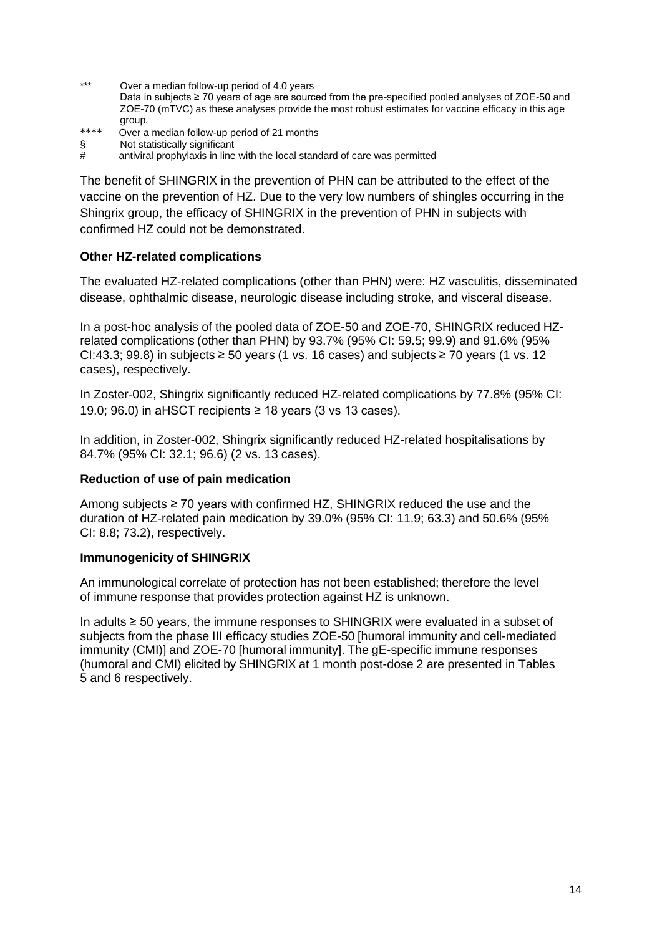\*\*\* Over a median follow-up period of 4.0 years

Data in subjects ≥ 70 years of age are sourced from the pre-specified pooled analyses of ZOE-50 and ZOE-70 (mTVC) as these analyses provide the most robust estimates for vaccine efficacy in this age group*.*

- \*\*\*\* Over a median follow-up period of 21 months
- § Not statistically significant
- $#$  antiviral prophylaxis in line with the local standard of care was permitted

The benefit of SHINGRIX in the prevention of PHN can be attributed to the effect of the vaccine on the prevention of HZ. Due to the very low numbers of shingles occurring in the Shingrix group, the efficacy of SHINGRIX in the prevention of PHN in subjects with confirmed HZ could not be demonstrated.

### **Other HZ-related complications**

The evaluated HZ-related complications (other than PHN) were: HZ vasculitis, disseminated disease, ophthalmic disease, neurologic disease including stroke, and visceral disease.

In a post-hoc analysis of the pooled data of ZOE-50 and ZOE-70, SHINGRIX reduced HZrelated complications (other than PHN) by 93.7% (95% CI: 59.5; 99.9) and 91.6% (95% CI:43.3; 99.8) in subjects  $\geq$  50 years (1 vs. 16 cases) and subjects  $\geq$  70 years (1 vs. 12 cases), respectively.

In Zoster-002, Shingrix significantly reduced HZ-related complications by 77.8% (95% CI: 19.0; 96.0) in aHSCT recipients  $\geq$  18 years (3 vs 13 cases).

In addition, in Zoster-002, Shingrix significantly reduced HZ-related hospitalisations by 84.7% (95% CI: 32.1; 96.6) (2 vs. 13 cases).

### **Reduction of use of pain medication**

Among subjects ≥ 70 years with confirmed HZ, SHINGRIX reduced the use and the duration of HZ-related pain medication by 39.0% (95% CI: 11.9; 63.3) and 50.6% (95% CI: 8.8; 73.2), respectively.

### **Immunogenicity of SHINGRIX**

An immunological correlate of protection has not been established; therefore the level of immune response that provides protection against HZ is unknown.

In adults ≥ 50 years, the immune responses to SHINGRIX were evaluated in a subset of subjects from the phase III efficacy studies ZOE-50 [humoral immunity and cell-mediated immunity (CMI)] and ZOE-70 [humoral immunity]. The gE-specific immune responses (humoral and CMI) elicited by SHINGRIX at 1 month post-dose 2 are presented in Tables 5 and 6 respectively.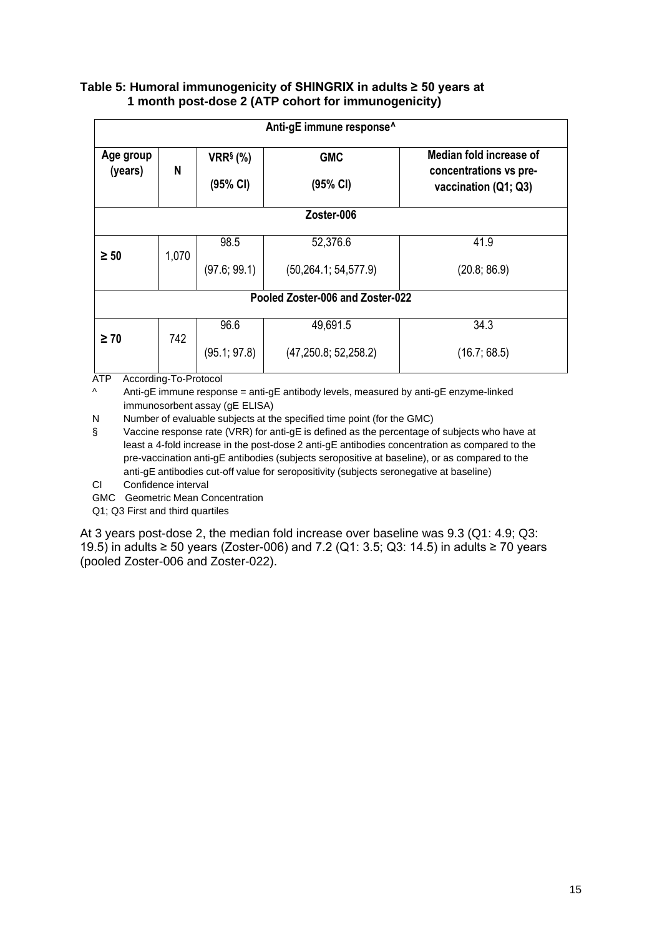### **Table 5: Humoral immunogenicity of SHINGRIX in adults ≥ 50 years at 1 month post-dose 2 (ATP cohort for immunogenicity)**

|                      | Anti-gE immune response <sup>^</sup> |                                                  |                        |                                                                           |  |  |  |  |  |  |
|----------------------|--------------------------------------|--------------------------------------------------|------------------------|---------------------------------------------------------------------------|--|--|--|--|--|--|
| Age group<br>(years) | N                                    | $VRR§$ (%)<br><b>GMC</b><br>(95% CI)<br>(95% Cl) |                        | Median fold increase of<br>concentrations vs pre-<br>vaccination (Q1; Q3) |  |  |  |  |  |  |
|                      | Zoster-006                           |                                                  |                        |                                                                           |  |  |  |  |  |  |
| $\geq 50$            |                                      | 98.5                                             | 52,376.6               | 41.9                                                                      |  |  |  |  |  |  |
|                      | 1,070                                | (97.6; 99.1)                                     | (50, 264.1; 54, 577.9) | (20.8; 86.9)                                                              |  |  |  |  |  |  |
|                      | Pooled Zoster-006 and Zoster-022     |                                                  |                        |                                                                           |  |  |  |  |  |  |
| $\geq 70$            |                                      | 96.6                                             | 49,691.5               | 34.3                                                                      |  |  |  |  |  |  |
|                      | 742                                  | (95.1; 97.8)                                     | (47, 250.8; 52, 258.2) | (16.7; 68.5)                                                              |  |  |  |  |  |  |

ATP According-To-Protocol

Anti-gE immune response = anti-gE antibody levels, measured by anti-gE enzyme-linked immunosorbent assay (gE ELISA)

N Number of evaluable subjects at the specified time point (for the GMC)

§ Vaccine response rate (VRR) for anti-gE is defined as the percentage of subjects who have at least a 4-fold increase in the post-dose 2 anti-gE antibodies concentration as compared to the pre-vaccination anti-gE antibodies (subjects seropositive at baseline), or as compared to the anti-gE antibodies cut-off value for seropositivity (subjects seronegative at baseline)

CI Confidence interval

GMC Geometric Mean Concentration

Q1; Q3 First and third quartiles

At 3 years post-dose 2, the median fold increase over baseline was 9.3 (Q1: 4.9; Q3: 19.5) in adults ≥ 50 years (Zoster-006) and 7.2 (Q1: 3.5; Q3: 14.5) in adults ≥ 70 years (pooled Zoster-006 and Zoster-022).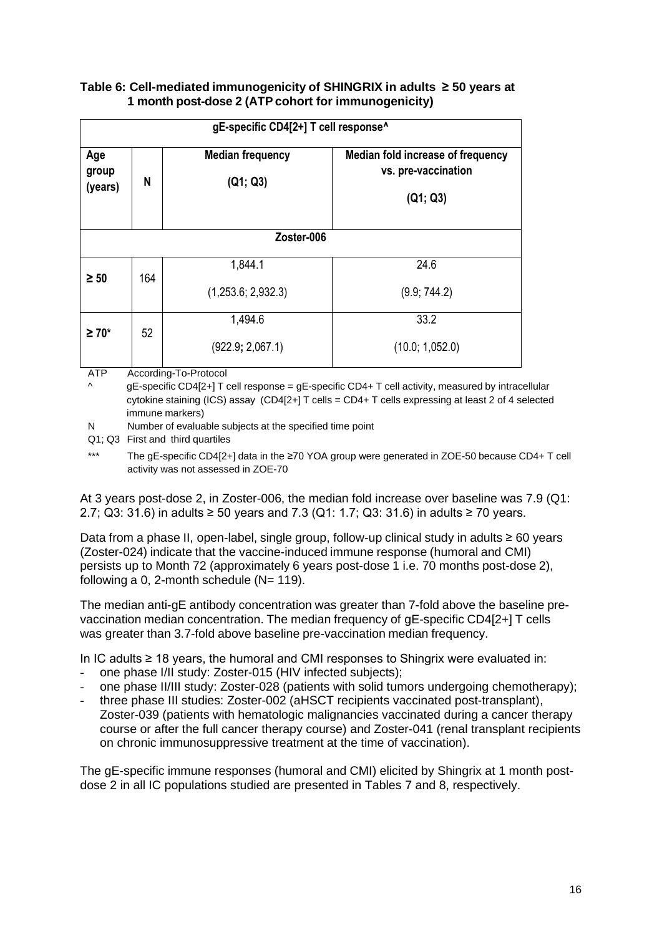### **Table 6: Cell-mediated immunogenicity of SHINGRIX in adults ≥ 50 years at 1 month post-dose 2 (ATP cohort for immunogenicity)**

|                         | gE-specific CD4[2+] T cell response^ |                                     |                                                                             |  |  |  |  |  |  |
|-------------------------|--------------------------------------|-------------------------------------|-----------------------------------------------------------------------------|--|--|--|--|--|--|
| Age<br>group<br>(years) | N                                    | <b>Median frequency</b><br>(Q1; Q3) | <b>Median fold increase of frequency</b><br>vs. pre-vaccination<br>(Q1; Q3) |  |  |  |  |  |  |
|                         | Zoster-006                           |                                     |                                                                             |  |  |  |  |  |  |
| $\geq 50$               | 164                                  | 1,844.1                             | 24.6                                                                        |  |  |  |  |  |  |
|                         | (1,253.6; 2,932.3)                   | (9.9; 744.2)                        |                                                                             |  |  |  |  |  |  |
| $\geq 70^*$             | 52                                   | 1,494.6                             | 33.2                                                                        |  |  |  |  |  |  |
|                         |                                      | (922.9; 2,067.1)                    | (10.0; 1,052.0)                                                             |  |  |  |  |  |  |

ATP According-To-Protocol

 $qE$ -specific CD4[2+] T cell response =  $qE$ -specific CD4+ T cell activity, measured by intracellular cytokine staining (ICS) assay (CD4[2+] T cells = CD4+ T cells expressing at least 2 of 4 selected immune markers)

N Number of evaluable subjects at the specified time point

Q1; Q3 First and third quartiles

\*\*\* The gE-specific CD4[2+] data in the ≥70 YOA group were generated in ZOE-50 because CD4+ T cell activity was not assessed in ZOE-70

At 3 years post-dose 2, in Zoster-006, the median fold increase over baseline was 7.9 (Q1: 2.7; Q3: 31.6) in adults ≥ 50 years and 7.3 (Q1: 1.7; Q3: 31.6) in adults ≥ 70 years.

Data from a phase II, open-label, single group, follow-up clinical study in adults ≥ 60 years (Zoster-024) indicate that the vaccine-induced immune response (humoral and CMI) persists up to Month 72 (approximately 6 years post-dose 1 i.e. 70 months post-dose 2), following a 0, 2-month schedule  $(N= 119)$ .

The median anti-gE antibody concentration was greater than 7-fold above the baseline prevaccination median concentration. The median frequency of gE-specific CD4[2+] T cells was greater than 3.7-fold above baseline pre-vaccination median frequency.

In IC adults ≥ 18 years, the humoral and CMI responses to Shingrix were evaluated in:

- one phase I/II study: Zoster-015 (HIV infected subjects);
- one phase II/III study: Zoster-028 (patients with solid tumors undergoing chemotherapy);
- three phase III studies: Zoster-002 (aHSCT recipients vaccinated post-transplant), Zoster-039 (patients with hematologic malignancies vaccinated during a cancer therapy course or after the full cancer therapy course) and Zoster-041 (renal transplant recipients on chronic immunosuppressive treatment at the time of vaccination).

The gE-specific immune responses (humoral and CMI) elicited by Shingrix at 1 month postdose 2 in all IC populations studied are presented in Tables 7 and 8, respectively.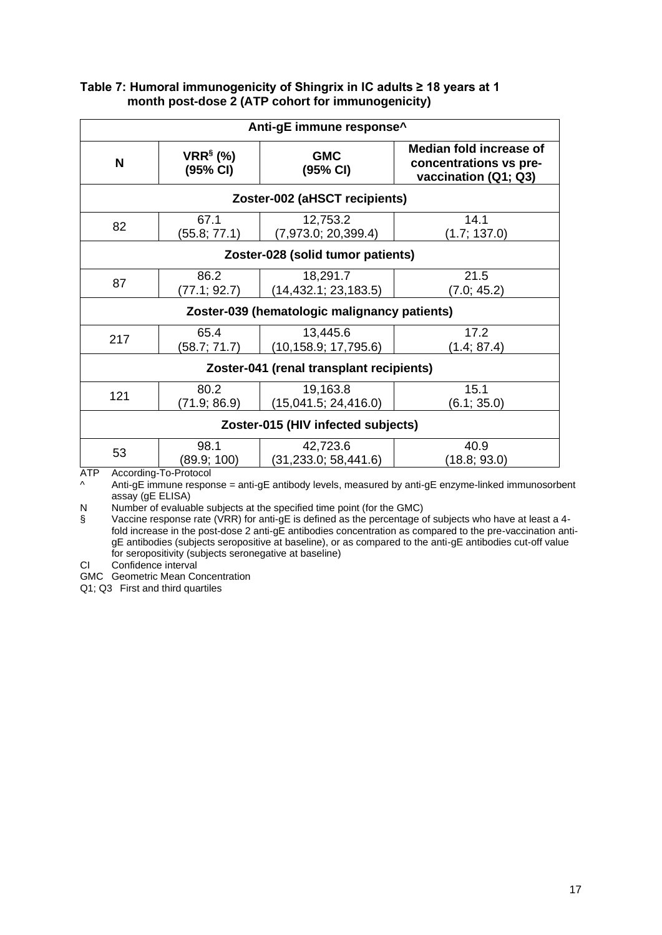| Anti-gE immune response^          |                        |                                              |                                                                           |  |  |
|-----------------------------------|------------------------|----------------------------------------------|---------------------------------------------------------------------------|--|--|
| N                                 | $VRR§$ (%)<br>(95% CI) | <b>GMC</b><br>(95% CI)                       | Median fold increase of<br>concentrations vs pre-<br>vaccination (Q1; Q3) |  |  |
| Zoster-002 (aHSCT recipients)     |                        |                                              |                                                                           |  |  |
| 82                                | 67.1<br>(55.8; 77.1)   | 12,753.2<br>(7,973.0; 20,399.4)              | 14.1<br>(1.7; 137.0)                                                      |  |  |
| Zoster-028 (solid tumor patients) |                        |                                              |                                                                           |  |  |
| 87                                | 86.2<br>(77.1; 92.7)   | 18,291.7<br>(14, 432.1; 23, 183.5)           | 21.5<br>(7.0; 45.2)                                                       |  |  |
|                                   |                        | Zoster-039 (hematologic malignancy patients) |                                                                           |  |  |
| 217                               | 65.4<br>(58.7; 71.7)   | 13,445.6<br>(10, 158.9; 17, 795.6)           | 17.2<br>(1.4; 87.4)                                                       |  |  |
|                                   |                        | Zoster-041 (renal transplant recipients)     |                                                                           |  |  |
| 121                               | 80.2<br>(71.9; 86.9)   | 19,163.8<br>(15,041.5; 24,416.0)             | 15.1<br>(6.1; 35.0)                                                       |  |  |
|                                   |                        | Zoster-015 (HIV infected subjects)           |                                                                           |  |  |
| 53                                | 98.1<br>(89.9; 100)    | 42,723.6<br>(31, 233.0; 58, 441.6)           | 40.9<br>(18.8; 93.0)                                                      |  |  |
| <b>ATP</b>                        | According-To-Protocol  |                                              |                                                                           |  |  |

### **Table 7: Humoral immunogenicity of Shingrix in IC adults ≥ 18 years at 1 month post-dose 2 (ATP cohort for immunogenicity)**

^ Anti-gE immune response = anti-gE antibody levels, measured by anti-gE enzyme-linked immunosorbent assay (gE ELISA)

N Number of evaluable subjects at the specified time point (for the GMC)

S<br>S Vaccine response rate (VRR) for anti-gE is defined as the percentage of subjects who have at least a 4fold increase in the post-dose 2 anti-gE antibodies concentration as compared to the pre-vaccination antigE antibodies (subjects seropositive at baseline), or as compared to the anti-gE antibodies cut-off value g announce (subjects seronegative at baseline)

CI Confidence interval

GMC Geometric Mean Concentration

Q1; Q3 First and third quartiles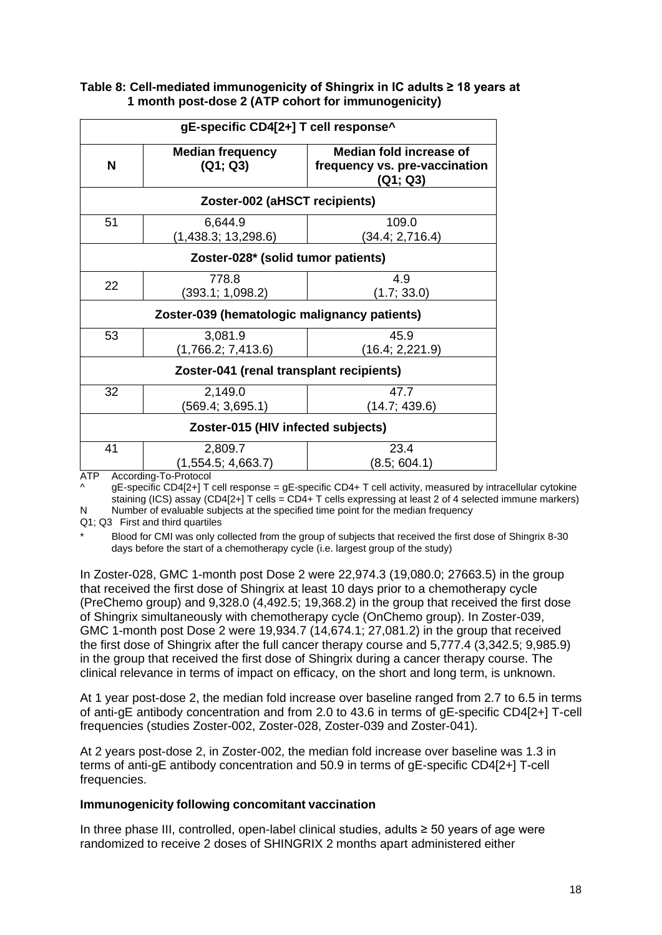| gE-specific CD4[2+] T cell response^ |                                                    |                                                                             |  |  |
|--------------------------------------|----------------------------------------------------|-----------------------------------------------------------------------------|--|--|
| N                                    | <b>Median frequency</b><br>(Q1; Q3)                | <b>Median fold increase of</b><br>frequency vs. pre-vaccination<br>(Q1; Q3) |  |  |
|                                      | Zoster-002 (aHSCT recipients)                      |                                                                             |  |  |
| 51                                   | 6,644.9<br>(1,438.3; 13,298.6)                     | 109.0<br>(34.4; 2,716.4)                                                    |  |  |
|                                      | Zoster-028* (solid tumor patients)                 |                                                                             |  |  |
| 22                                   | 778.8<br>(393.1; 1,098.2)                          | 4.9<br>(1.7; 33.0)                                                          |  |  |
|                                      | Zoster-039 (hematologic malignancy patients)       |                                                                             |  |  |
| 53                                   | 3,081.9<br>(1,766.2; 7,413.6)                      | 45.9<br>(16.4; 2,221.9)                                                     |  |  |
|                                      | Zoster-041 (renal transplant recipients)           |                                                                             |  |  |
| 32                                   | 2,149.0<br>(569.4; 3,695.1)                        | 47.7<br>(14.7; 439.6)                                                       |  |  |
|                                      | Zoster-015 (HIV infected subjects)                 |                                                                             |  |  |
| 41<br>$5 - 7$                        | 2,809.7<br>(1,554.5; 4,663.7)<br>$\mathbf{\tau}$ . | 23.4<br>(8.5; 604.1)                                                        |  |  |

### **Table 8: Cell-mediated immunogenicity of Shingrix in IC adults ≥ 18 years at 1 month post-dose 2 (ATP cohort for immunogenicity)**

ATP According-To-Protocol

 $\land$  gE-specific CD4[2+] T cell response = gE-specific CD4+ T cell activity, measured by intracellular cytokine staining (ICS) assay (CD4[2+] T cells = CD4+ T cells expressing at least 2 of 4 selected immune markers) N Number of evaluable subjects at the specified time point for the median frequency

Q1; Q3 First and third quartiles

Blood for CMI was only collected from the group of subjects that received the first dose of Shingrix 8-30 days before the start of a chemotherapy cycle (i.e. largest group of the study)

In Zoster-028, GMC 1-month post Dose 2 were 22,974.3 (19,080.0; 27663.5) in the group that received the first dose of Shingrix at least 10 days prior to a chemotherapy cycle (PreChemo group) and 9,328.0 (4,492.5; 19,368.2) in the group that received the first dose of Shingrix simultaneously with chemotherapy cycle (OnChemo group). In Zoster-039, GMC 1-month post Dose 2 were 19,934.7 (14,674.1; 27,081.2) in the group that received the first dose of Shingrix after the full cancer therapy course and 5,777.4 (3,342.5; 9,985.9) in the group that received the first dose of Shingrix during a cancer therapy course. The clinical relevance in terms of impact on efficacy, on the short and long term, is unknown.

At 1 year post-dose 2, the median fold increase over baseline ranged from 2.7 to 6.5 in terms of anti-gE antibody concentration and from 2.0 to 43.6 in terms of gE-specific CD4[2+] T-cell frequencies (studies Zoster-002, Zoster-028, Zoster-039 and Zoster-041).

At 2 years post-dose 2, in Zoster-002, the median fold increase over baseline was 1.3 in terms of anti-gE antibody concentration and 50.9 in terms of gE-specific CD4[2+] T-cell frequencies.

### **Immunogenicity following concomitant vaccination**

In three phase III, controlled, open-label clinical studies, adults ≥ 50 years of age were randomized to receive 2 doses of SHINGRIX 2 months apart administered either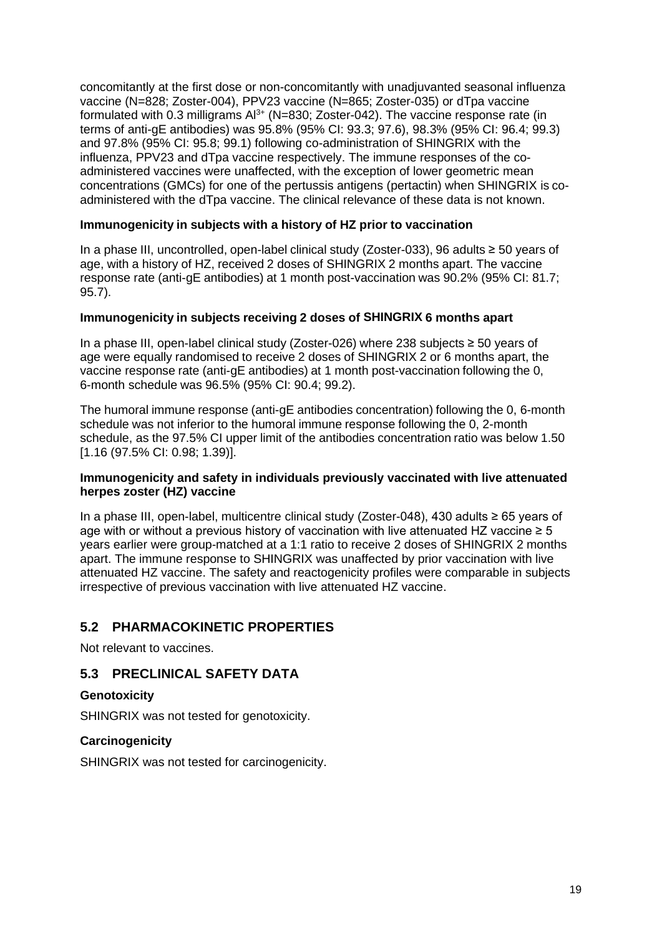concomitantly at the first dose or non-concomitantly with unadjuvanted seasonal influenza vaccine (N=828; Zoster-004), PPV23 vaccine (N=865; Zoster-035) or dTpa vaccine formulated with 0.3 milligrams  $Al^{3+}$  (N=830; Zoster-042). The vaccine response rate (in terms of anti-gE antibodies) was 95.8% (95% CI: 93.3; 97.6), 98.3% (95% CI: 96.4; 99.3) and 97.8% (95% CI: 95.8; 99.1) following co-administration of SHINGRIX with the influenza, PPV23 and dTpa vaccine respectively. The immune responses of the coadministered vaccines were unaffected, with the exception of lower geometric mean concentrations (GMCs) for one of the pertussis antigens (pertactin) when SHINGRIX is coadministered with the dTpa vaccine. The clinical relevance of these data is not known.

### **Immunogenicity in subjects with a history of HZ prior to vaccination**

In a phase III, uncontrolled, open-label clinical study (Zoster-033), 96 adults ≥ 50 years of age, with a history of HZ, received 2 doses of SHINGRIX 2 months apart. The vaccine response rate (anti-gE antibodies) at 1 month post-vaccination was 90.2% (95% CI: 81.7; 95.7).

### **Immunogenicity in subjects receiving 2 doses of SHINGRIX 6 months apart**

In a phase III, open-label clinical study (Zoster-026) where 238 subjects ≥ 50 years of age were equally randomised to receive 2 doses of SHINGRIX 2 or 6 months apart, the vaccine response rate (anti-gE antibodies) at 1 month post-vaccination following the 0, 6-month schedule was 96.5% (95% CI: 90.4; 99.2).

The humoral immune response (anti-gE antibodies concentration) following the 0, 6-month schedule was not inferior to the humoral immune response following the 0, 2-month schedule, as the 97.5% CI upper limit of the antibodies concentration ratio was below 1.50 [1.16 (97.5% CI: 0.98; 1.39)].

### **Immunogenicity and safety in individuals previously vaccinated with live attenuated herpes zoster (HZ) vaccine**

In a phase III, open-label, multicentre clinical study (Zoster-048), 430 adults ≥ 65 years of age with or without a previous history of vaccination with live attenuated HZ vaccine  $\geq 5$ years earlier were group-matched at a 1:1 ratio to receive 2 doses of SHINGRIX 2 months apart. The immune response to SHINGRIX was unaffected by prior vaccination with live attenuated HZ vaccine. The safety and reactogenicity profiles were comparable in subjects irrespective of previous vaccination with live attenuated HZ vaccine.

### **5.2 PHARMACOKINETIC PROPERTIES**

Not relevant to vaccines.

### **5.3 PRECLINICAL SAFETY DATA**

### **Genotoxicity**

SHINGRIX was not tested for genotoxicity.

### **Carcinogenicity**

SHINGRIX was not tested for carcinogenicity.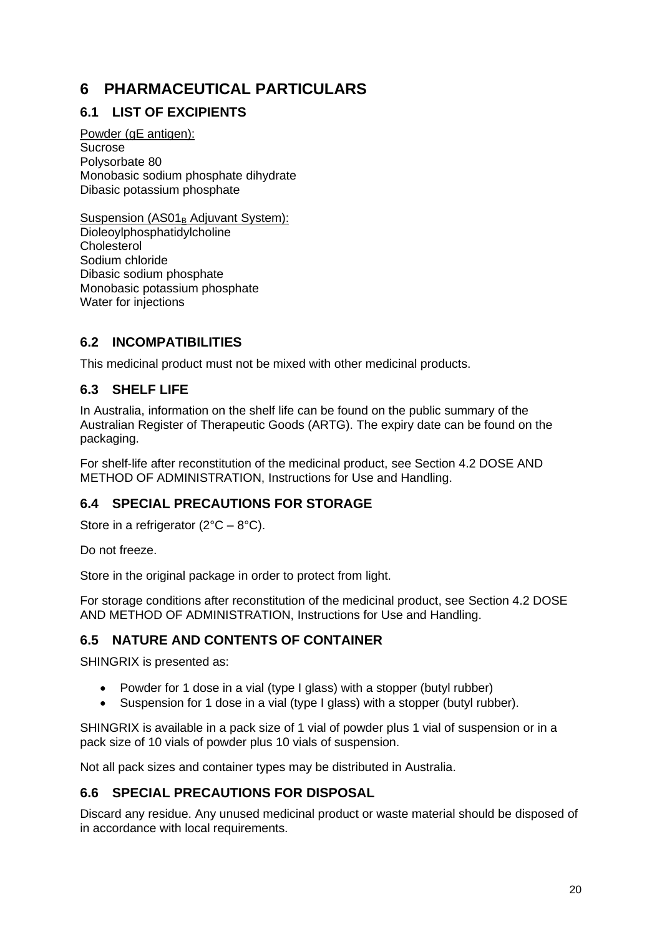# **6 PHARMACEUTICAL PARTICULARS**

## **6.1 LIST OF EXCIPIENTS**

Powder (aE antigen): Sucrose Polysorbate 80 Monobasic sodium phosphate dihydrate Dibasic potassium phosphate

Suspension  $(AS01<sub>B</sub>$  Adjuvant System): Dioleoylphosphatidylcholine **Cholesterol** Sodium chloride Dibasic sodium phosphate Monobasic potassium phosphate Water for injections

### **6.2 INCOMPATIBILITIES**

This medicinal product must not be mixed with other medicinal products.

### **6.3 SHELF LIFE**

In Australia, information on the shelf life can be found on the public summary of the Australian Register of Therapeutic Goods (ARTG). The expiry date can be found on the packaging.

For shelf-life after reconstitution of the medicinal product, see Section 4.2 DOSE AND METHOD OF ADMINISTRATION, Instructions for Use and Handling.

### **6.4 SPECIAL PRECAUTIONS FOR STORAGE**

Store in a refrigerator  $(2^{\circ}C - 8^{\circ}C)$ .

Do not freeze.

Store in the original package in order to protect from light.

For storage conditions after reconstitution of the medicinal product, see Section 4.2 DOSE AND METHOD OF ADMINISTRATION, Instructions for Use and Handling.

## **6.5 NATURE AND CONTENTS OF CONTAINER**

SHINGRIX is presented as:

- Powder for 1 dose in a vial (type I glass) with a stopper (butyl rubber)
- Suspension for 1 dose in a vial (type I glass) with a stopper (butyl rubber).

SHINGRIX is available in a pack size of 1 vial of powder plus 1 vial of suspension or in a pack size of 10 vials of powder plus 10 vials of suspension.

Not all pack sizes and container types may be distributed in Australia.

### **6.6 SPECIAL PRECAUTIONS FOR DISPOSAL**

Discard any residue. Any unused medicinal product or waste material should be disposed of in accordance with local requirements.